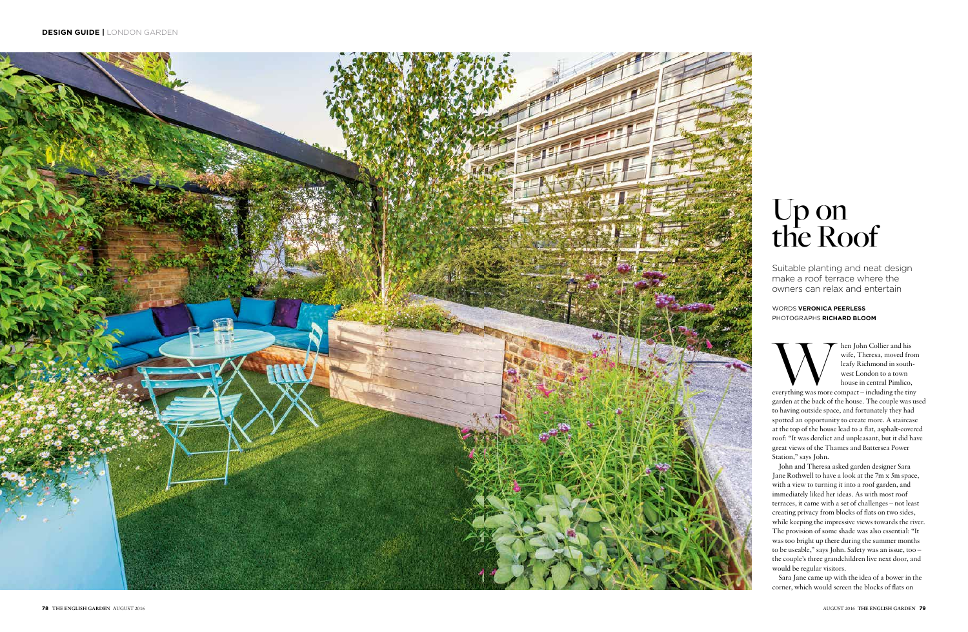

Music Universal Music and his wife, Theresa, moved from leafy Richmond in southwest London to a town house in central Pimlico, everything was more compact – including the tiny wife, Theresa, moved from leafy Richmond in southwest London to a town house in central Pimlico,

garden at the back of the house. The couple was used to having outside space, and fortunately they had spotted an opportunity to create more. A staircase at the top of the house lead to a flat, asphalt-covered roof: "It was derelict and unpleasant, but it did have great views of the Thames and Battersea Power Station," says John.

John and Theresa asked garden designer Sara Jane Rothwell to have a look at the 7m x 5m space, with a view to turning it into a roof garden, and immediately liked her ideas. As with most roof terraces, it came with a set of challenges – not least creating privacy from blocks of flats on two sides, while keeping the impressive views towards the river. The provision of some shade was also essential: "It was too bright up there during the summer months to be useable," says John. Safety was an issue, too – the couple's three grandchildren live next door, and would be regular visitors.

Sara Jane came up with the idea of a bower in the corner, which would screen the blocks of flats on

Suitable planting and neat design make a roof terrace where the owners can relax and entertain

# Up on the Roof

#### WORDS **VERONICA PEERLESS** PHOTOGRAPHS **RICHARD BLOOM**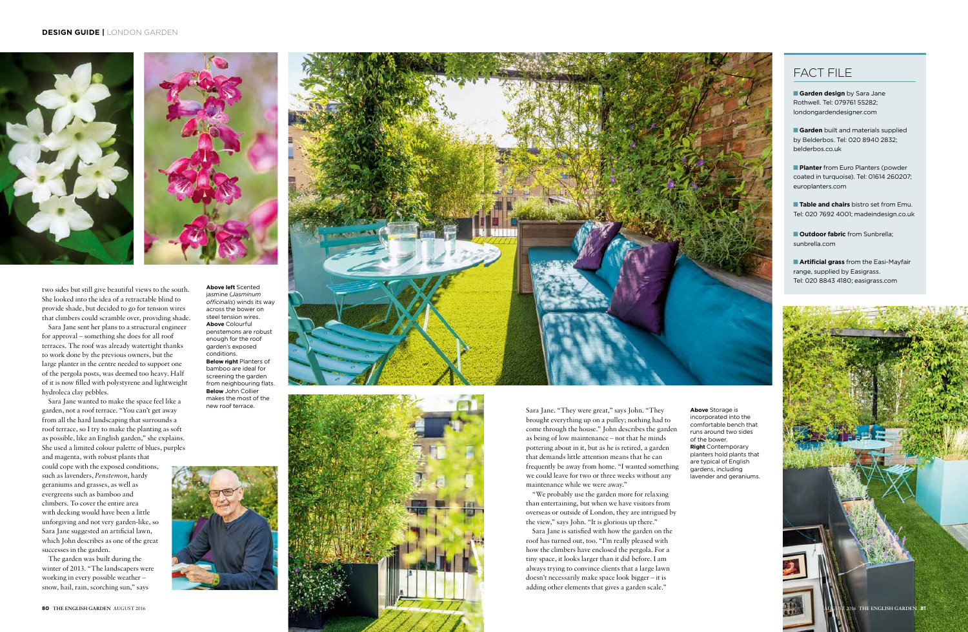two sides but still give beautiful views to the south. She looked into the idea of a retractable blind to provide shade, but decided to go for tension wires that climbers could scramble over, providing shade.

Sara Jane sent her plans to a structural engineer for approval – something she does for all roof terraces. The roof was already watertight thanks to work done by the previous owners, but the large planter in the centre needed to support one of the pergola posts, was deemed too heavy. Half of it is now filled with polystyrene and lightweight hydroleca clay pebbles.

**Above left** Scented jasmine (*Jasminum officinalis*) winds its way across the bower on steel tension wires. **Above** Colourful penstemons are robust enough for the roof garden's exposed conditions. **Below right** Planters of bamboo are ideal for screening the garden from neighbouring flats. **Below** John Collier makes the most of the<br>new roof terrace.





Sara Jane wanted to make the space feel like a garden, not a roof terrace. "You can't get away from all the hard landscaping that surrounds a roof terrace, so I try to make the planting as soft as possible, like an English garden," she explains. She used a limited colour palette of blues, purples

and magenta, with robust plants that could cope with the exposed conditions, such as lavenders, *Penstemon*, hardy geraniums and grasses, as well as evergreens such as bamboo and climbers. To cover the entire area with decking would have been a little unforgiving and not very garden-like, so Sara Jane suggested an artificial lawn, which John describes as one of the great successes in the garden.

The garden was built during the winter of 2013. "The landscapers were working in every possible weather – snow, hail, rain, scorching sun," says

**Garden design** by Sara Jane Rothwell. Tel: 079761 55282; londongardendesigner.com

**Garden** built and materials supplied by Belderbos. Tel: 020 8940 2832; belderbos.co.uk

**Planter** from Euro Planters (powder coated in turquoise). Tel: 01614 260207; europlanters.com

**Table and chairs** bistro set from Emu. Tel: 020 7692 4001; madeindesign.co.uk

**n** Outdoor fabric from Sunbrella: sunbrella.com

**Artificial grass** from the Easi-Mayfair range, supplied by Easigrass. Tel: 020 8843 4180; easigrass.com

incorporated into the comfortable bench that runs around two sides



of the bower. **Right** Contemporary planters hold plants that are typical of English gardens, including lavender and geraniums.





brought everything up on a pulley; nothing had to come through the house." John describes the garden as being of low maintenance – not that he minds pottering about in it, but as he is retired, a garden that demands little attention means that he can frequently be away from home. "I wanted something we could leave for two or three weeks without any maintenance while we were away."

"We probably use the garden more for relaxing than entertaining, but when we have visitors from overseas or outside of London, they are intrigued by the view," says John. "It is glorious up there."

Sara Jane is satisfied with how the garden on the roof has turned out, too. "I'm really pleased with how the climbers have enclosed the pergola. For a tiny space, it looks larger than it did before. I am always trying to convince clients that a large lawn doesn't necessarily make space look bigger – it is adding other elements that gives a garden scale."

### FACT FILE